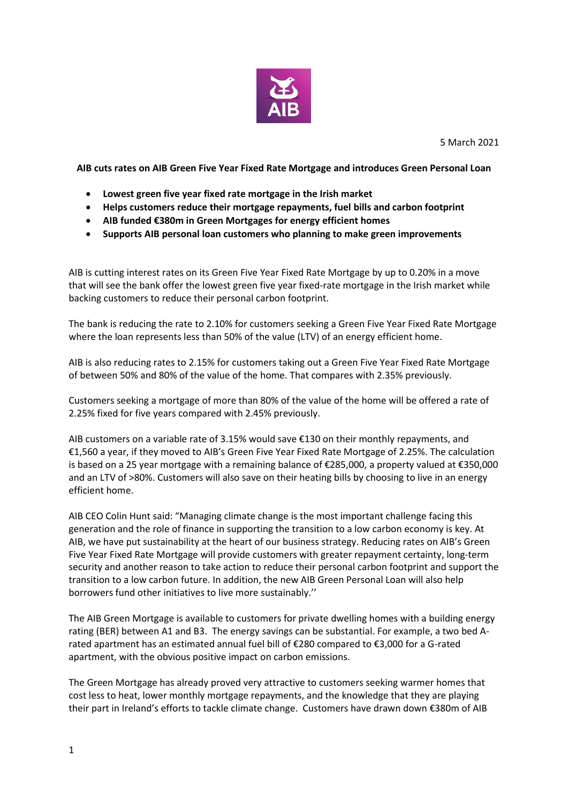

**AIB cuts rates on AIB Green Five Year Fixed Rate Mortgage and introduces Green Personal Loan**

- **Lowest green five year fixed rate mortgage in the Irish market**
- **Helps customers reduce their mortgage repayments, fuel bills and carbon footprint**
- **AIB funded €380m in Green Mortgages for energy efficient homes**
- **Supports AIB personal loan customers who planning to make green improvements**

AIB is cutting interest rates on its Green Five Year Fixed Rate Mortgage by up to 0.20% in a move that will see the bank offer the lowest green five year fixed-rate mortgage in the Irish market while backing customers to reduce their personal carbon footprint.

The bank is reducing the rate to 2.10% for customers seeking a Green Five Year Fixed Rate Mortgage where the loan represents less than 50% of the value (LTV) of an energy efficient home.

AIB is also reducing rates to 2.15% for customers taking out a Green Five Year Fixed Rate Mortgage of between 50% and 80% of the value of the home. That compares with 2.35% previously.

Customers seeking a mortgage of more than 80% of the value of the home will be offered a rate of 2.25% fixed for five years compared with 2.45% previously.

AIB customers on a variable rate of 3.15% would save €130 on their monthly repayments, and €1,560 a year, if they moved to AIB's Green Five Year Fixed Rate Mortgage of 2.25%. The calculation is based on a 25 year mortgage with a remaining balance of €285,000, a property valued at €350,000 and an LTV of >80%. Customers will also save on their heating bills by choosing to live in an energy efficient home.

AIB CEO Colin Hunt said: "Managing climate change is the most important challenge facing this generation and the role of finance in supporting the transition to a low carbon economy is key. At AIB, we have put sustainability at the heart of our business strategy. Reducing rates on AIB's Green Five Year Fixed Rate Mortgage will provide customers with greater repayment certainty, long-term security and another reason to take action to reduce their personal carbon footprint and support the transition to a low carbon future. In addition, the new AIB Green Personal Loan will also help borrowers fund other initiatives to live more sustainably.''

The AIB Green Mortgage is available to customers for private dwelling homes with a building energy rating (BER) between A1 and B3. The energy savings can be substantial. For example, a two bed Arated apartment has an estimated annual fuel bill of €280 compared to €3,000 for a G-rated apartment, with the obvious positive impact on carbon emissions.

The Green Mortgage has already proved very attractive to customers seeking warmer homes that cost less to heat, lower monthly mortgage repayments, and the knowledge that they are playing their part in Ireland's efforts to tackle climate change. Customers have drawn down €380m of AIB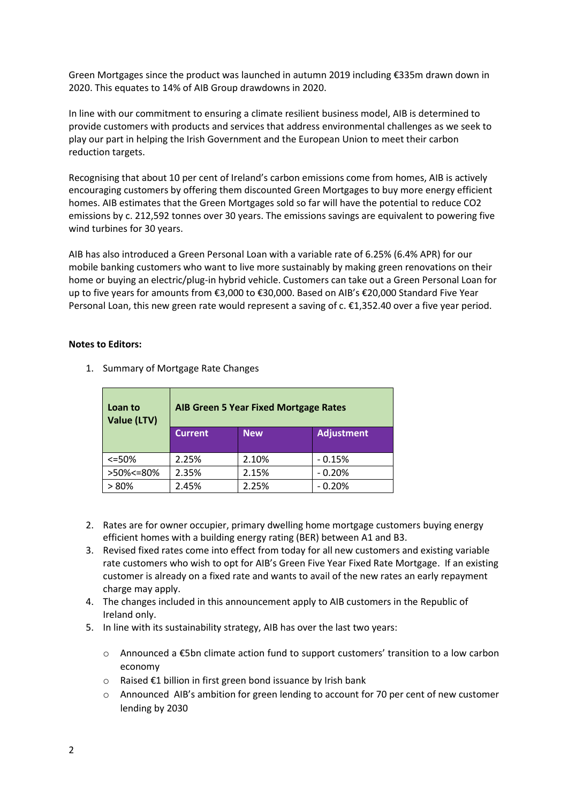Green Mortgages since the product was launched in autumn 2019 including €335m drawn down in 2020. This equates to 14% of AIB Group drawdowns in 2020.

In line with our commitment to ensuring a climate resilient business model, AIB is determined to provide customers with products and services that address environmental challenges as we seek to play our part in helping the Irish Government and the European Union to meet their carbon reduction targets.

Recognising that about 10 per cent of Ireland's carbon emissions come from homes, AIB is actively encouraging customers by offering them discounted Green Mortgages to buy more energy efficient homes. AIB estimates that the Green Mortgages sold so far will have the potential to reduce CO2 emissions by c. 212,592 tonnes over 30 years. The emissions savings are equivalent to powering five wind turbines for 30 years.

AIB has also introduced a Green Personal Loan with a variable rate of 6.25% (6.4% APR) for our mobile banking customers who want to live more sustainably by making green renovations on their home or buying an electric/plug-in hybrid vehicle. Customers can take out a Green Personal Loan for up to five years for amounts from €3,000 to €30,000. Based on AIB's €20,000 Standard Five Year Personal Loan, this new green rate would represent a saving of c. €1,352.40 over a five year period.

## **Notes to Editors:**

 $\blacksquare$ 

| Loan to<br>Value (LTV) |                | <b>AIB Green 5 Year Fixed Mortgage Rates</b> |                   |  |
|------------------------|----------------|----------------------------------------------|-------------------|--|
|                        | <b>Current</b> | <b>New</b>                                   | <b>Adjustment</b> |  |
| $<=50%$                | 2.25%          | 2.10%                                        | $-0.15%$          |  |
| >50%<=80%              | 2.35%          | 2.15%                                        | $-0.20%$          |  |
| $>80\%$                | 2.45%          | 2.25%                                        | $-0.20%$          |  |

1. Summary of Mortgage Rate Changes

- 2. Rates are for owner occupier, primary dwelling home mortgage customers buying energy efficient homes with a building energy rating (BER) between A1 and B3.
- 3. Revised fixed rates come into effect from today for all new customers and existing variable rate customers who wish to opt for AIB's Green Five Year Fixed Rate Mortgage. If an existing customer is already on a fixed rate and wants to avail of the new rates an early repayment charge may apply.
- 4. The changes included in this announcement apply to AIB customers in the Republic of Ireland only.
- 5. In line with its sustainability strategy, AIB has over the last two years:
	- o Announced a €5bn climate action fund to support customers' transition to a low carbon economy
	- o Raised €1 billion in first green bond issuance by Irish bank
	- o Announced AIB's ambition for green lending to account for 70 per cent of new customer lending by 2030